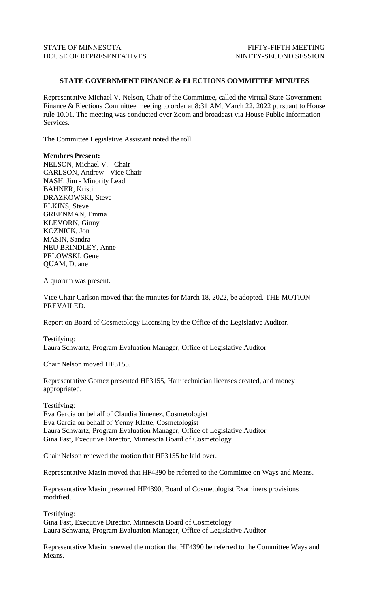## **STATE GOVERNMENT FINANCE & ELECTIONS COMMITTEE MINUTES**

Representative Michael V. Nelson, Chair of the Committee, called the virtual State Government Finance & Elections Committee meeting to order at 8:31 AM, March 22, 2022 pursuant to House rule 10.01. The meeting was conducted over Zoom and broadcast via House Public Information Services.

The Committee Legislative Assistant noted the roll.

## **Members Present:**

NELSON, Michael V. - Chair CARLSON, Andrew - Vice Chair NASH, Jim - Minority Lead BAHNER, Kristin DRAZKOWSKI, Steve ELKINS, Steve GREENMAN, Emma KLEVORN, Ginny KOZNICK, Jon MASIN, Sandra NEU BRINDLEY, Anne PELOWSKI, Gene QUAM, Duane

A quorum was present.

Vice Chair Carlson moved that the minutes for March 18, 2022, be adopted. THE MOTION PREVAILED.

Report on Board of Cosmetology Licensing by the Office of the Legislative Auditor.

Testifying: Laura Schwartz, Program Evaluation Manager, Office of Legislative Auditor

Chair Nelson moved HF3155.

Representative Gomez presented HF3155, Hair technician licenses created, and money appropriated.

Testifying: Eva Garcia on behalf of Claudia Jimenez, Cosmetologist Eva Garcia on behalf of Yenny Klatte, Cosmetologist Laura Schwartz, Program Evaluation Manager, Office of Legislative Auditor Gina Fast, Executive Director, Minnesota Board of Cosmetology

Chair Nelson renewed the motion that HF3155 be laid over.

Representative Masin moved that HF4390 be referred to the Committee on Ways and Means.

Representative Masin presented HF4390, Board of Cosmetologist Examiners provisions modified.

Testifying: Gina Fast, Executive Director, Minnesota Board of Cosmetology Laura Schwartz, Program Evaluation Manager, Office of Legislative Auditor

Representative Masin renewed the motion that HF4390 be referred to the Committee Ways and Means.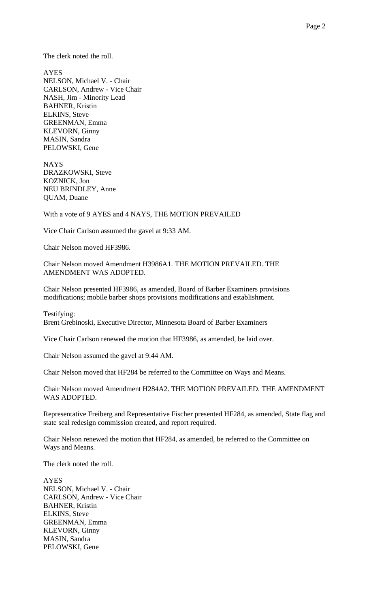The clerk noted the roll.

AYES NELSON, Michael V. - Chair CARLSON, Andrew - Vice Chair NASH, Jim - Minority Lead BAHNER, Kristin ELKINS, Steve GREENMAN, Emma KLEVORN, Ginny MASIN, Sandra PELOWSKI, Gene

**NAYS** DRAZKOWSKI, Steve KOZNICK, Jon NEU BRINDLEY, Anne QUAM, Duane

With a vote of 9 AYES and 4 NAYS, THE MOTION PREVAILED

Vice Chair Carlson assumed the gavel at 9:33 AM.

Chair Nelson moved HF3986.

Chair Nelson moved Amendment H3986A1. THE MOTION PREVAILED. THE AMENDMENT WAS ADOPTED.

Chair Nelson presented HF3986, as amended, Board of Barber Examiners provisions modifications; mobile barber shops provisions modifications and establishment.

Testifying: Brent Grebinoski, Executive Director, Minnesota Board of Barber Examiners

Vice Chair Carlson renewed the motion that HF3986, as amended, be laid over.

Chair Nelson assumed the gavel at 9:44 AM.

Chair Nelson moved that HF284 be referred to the Committee on Ways and Means.

Chair Nelson moved Amendment H284A2. THE MOTION PREVAILED. THE AMENDMENT WAS ADOPTED.

Representative Freiberg and Representative Fischer presented HF284, as amended, State flag and state seal redesign commission created, and report required.

Chair Nelson renewed the motion that HF284, as amended, be referred to the Committee on Ways and Means.

The clerk noted the roll.

AYES NELSON, Michael V. - Chair CARLSON, Andrew - Vice Chair BAHNER, Kristin ELKINS, Steve GREENMAN, Emma KLEVORN, Ginny MASIN, Sandra PELOWSKI, Gene